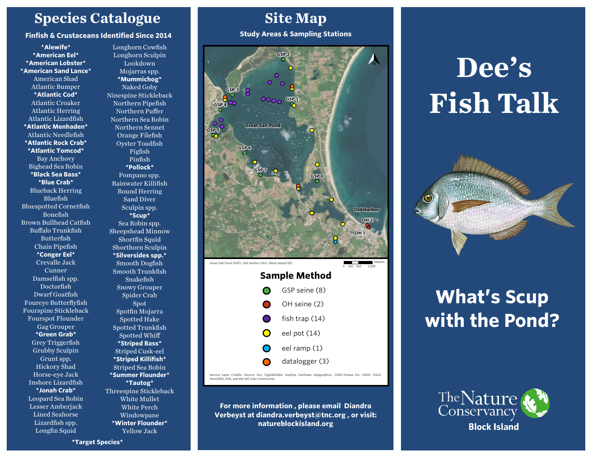### **Species Catalogue**

#### **Finfish & Crustaceans Identified Since 2014**

**\*Alewife\* \*American Eel\* \*American Lobster\* \*American Sand Lance\*** American Shad Atlantic Bumper **\*Atlantic Cod\*** Atlantic Croaker Atlantic Herring Atlantic Lizardfish **\*Atlantic Menhaden\*** Atlantic Needlefish **\*Atlantic Rock Crab\* \*Atlantic Tomcod\*** Bay Anchovy Bighead Sea Robin **\*Black Sea Bass\* \*Blue Crab\*** Blueback Herring Bluefish Bluespotted Cornetfish Bonefish Brown Bullhead Catfish Buffalo Trunkfish Butterfish Chain Pipefish **\*Conger Eel\*** Crevalle Jack Cunner Damselfish spp. Doctorfish Dwarf Goatfish Foureye Butterflyfish Fourspine Stickleback Fourspot Flounder Gag Grouper **\*Green Grab\*** Grey Triggerfish Grubby Sculpin Grunt spp. Hickory Shad Horse-eye Jack Inshore Lizardfish **\*Jonah Crab\*** Leopard Sea Robin Lesser Amberjack Lined Seahorse Lizardfish spp. Longfin Squid

Longhorn Cowfish Longhorn Sculpin Lookdown Mojarras spp. **\*Mummichog\*** Naked Goby Ninespine Stickleback Northern Pipefish Northern Puffer Northern Sea Robin Northern Sennet Orange Filefish Oyster Toadfish Pigfish Pinfish **\*Pollock\*** Pompano spp. Rainwater Killifish Round Herring Sand Diver Sculpin spp. **\*Scup\*** Sea Robin spp. Sheepshead Minnow Shortfin Squid Shorthorn Sculpin **\*Silversides spp.\*** Smooth Dogfish Smooth Trunkfish Snakefish Snowy Grouper Spider Crab Spot Spotfin Mojarra Spotted Hake Spotted Trunkfish Spotted Whiff **\*Striped Bass\*** Striped Cusk-eel **\*Striped Killifish\*** Striped Sea Robin **\*Summer Flounder\* \*Tautog\*** Threespine Stickleback White Mullet White Perch Windowpane **\*Winter Flounder\*** Yellow Jack

### **Site Map**

**Study Areas & Sampling Stations**



Service Layer Credits: Source: Esri, DigitalGlobe, GeoEye, Earthstar Geographics, CNES/Airbus DS, USDA, USGS, AeroGRID, IGN, and the GIS User Community

**For more information , please email Diandra Verbeyst at diandra.verbeyst@tnc.org , or visit: natureblockisland.org** 

# **Dee's Fish Talk**



## **What's Scup with the Pond?**



**\*Target Species\***